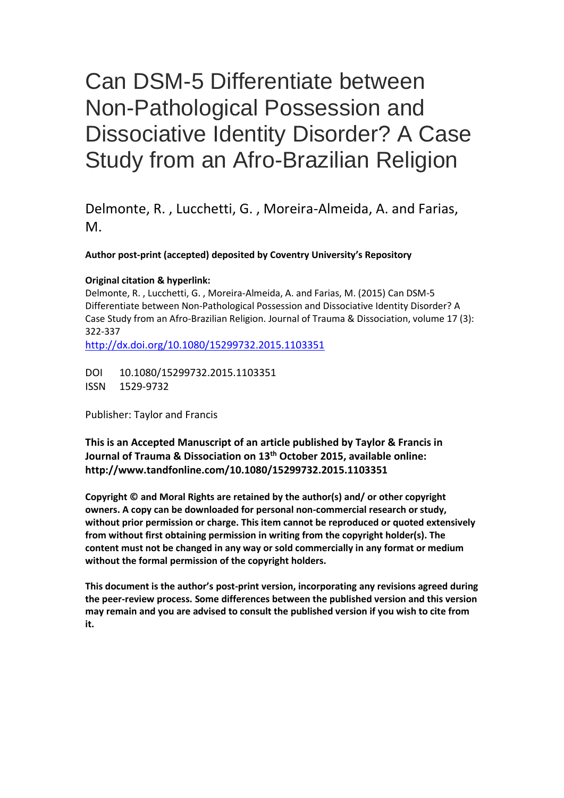# Can DSM-5 Differentiate between Non-Pathological Possession and Dissociative Identity Disorder? A Case Study from an Afro-Brazilian Religion

Delmonte, R. , Lucchetti, G. , Moreira-Almeida, A. and Farias, M.

## **Author post-print (accepted) deposited by Coventry University's Repository**

## **Original citation & hyperlink:**

Delmonte, R. , Lucchetti, G. , Moreira-Almeida, A. and Farias, M. (2015) Can DSM-5 Differentiate between Non-Pathological Possession and Dissociative Identity Disorder? A Case Study from an Afro-Brazilian Religion. Journal of Trauma & Dissociation, volume 17 (3): 322-337

<http://dx.doi.org/10.1080/15299732.2015.1103351>

DOI 10.1080/15299732.2015.1103351 ISSN 1529-9732

Publisher: Taylor and Francis

**This is an Accepted Manuscript of an article published by Taylor & Francis in Journal of Trauma & Dissociation on 13th October 2015, available online: http://www.tandfonline.com/10.1080/15299732.2015.1103351**

**Copyright © and Moral Rights are retained by the author(s) and/ or other copyright owners. A copy can be downloaded for personal non-commercial research or study, without prior permission or charge. This item cannot be reproduced or quoted extensively from without first obtaining permission in writing from the copyright holder(s). The content must not be changed in any way or sold commercially in any format or medium without the formal permission of the copyright holders.** 

**This document is the author's post-print version, incorporating any revisions agreed during the peer-review process. Some differences between the published version and this version may remain and you are advised to consult the published version if you wish to cite from it.**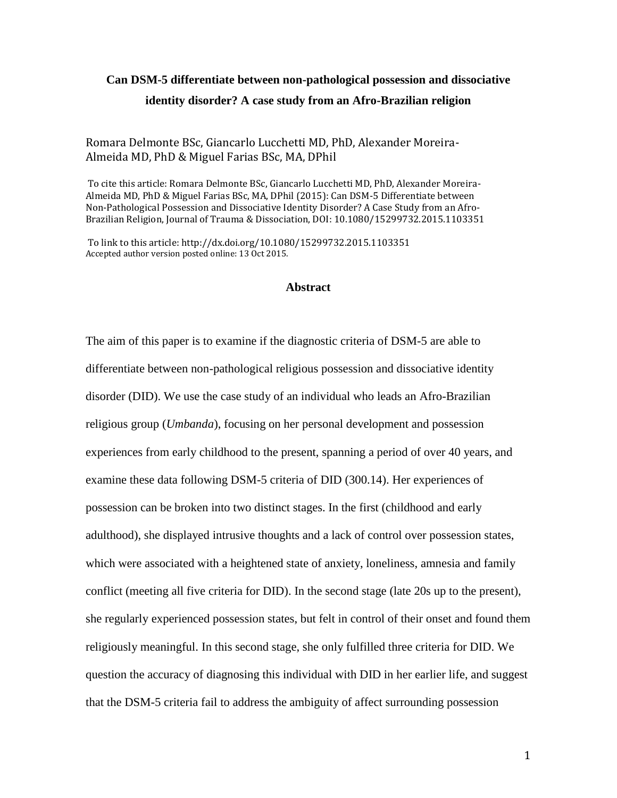# **Can DSM-5 differentiate between non-pathological possession and dissociative identity disorder? A case study from an Afro-Brazilian religion**

## Romara Delmonte BSc, Giancarlo Lucchetti MD, PhD, Alexander Moreira-Almeida MD, PhD & Miguel Farias BSc, MA, DPhil

To cite this article: Romara Delmonte BSc, Giancarlo Lucchetti MD, PhD, Alexander Moreira-Almeida MD, PhD & Miguel Farias BSc, MA, DPhil (2015): Can DSM-5 Differentiate between Non-Pathological Possession and Dissociative Identity Disorder? A Case Study from an Afro-Brazilian Religion, Journal of Trauma & Dissociation, DOI: 10.1080/15299732.2015.1103351

To link to this article: http://dx.doi.org/10.1080/15299732.2015.1103351 Accepted author version posted online: 13 Oct 2015.

#### **Abstract**

The aim of this paper is to examine if the diagnostic criteria of DSM-5 are able to differentiate between non-pathological religious possession and dissociative identity disorder (DID). We use the case study of an individual who leads an Afro-Brazilian religious group (*Umbanda*), focusing on her personal development and possession experiences from early childhood to the present, spanning a period of over 40 years, and examine these data following DSM-5 criteria of DID (300.14). Her experiences of possession can be broken into two distinct stages. In the first (childhood and early adulthood), she displayed intrusive thoughts and a lack of control over possession states, which were associated with a heightened state of anxiety, loneliness, amnesia and family conflict (meeting all five criteria for DID). In the second stage (late 20s up to the present), she regularly experienced possession states, but felt in control of their onset and found them religiously meaningful. In this second stage, she only fulfilled three criteria for DID. We question the accuracy of diagnosing this individual with DID in her earlier life, and suggest that the DSM-5 criteria fail to address the ambiguity of affect surrounding possession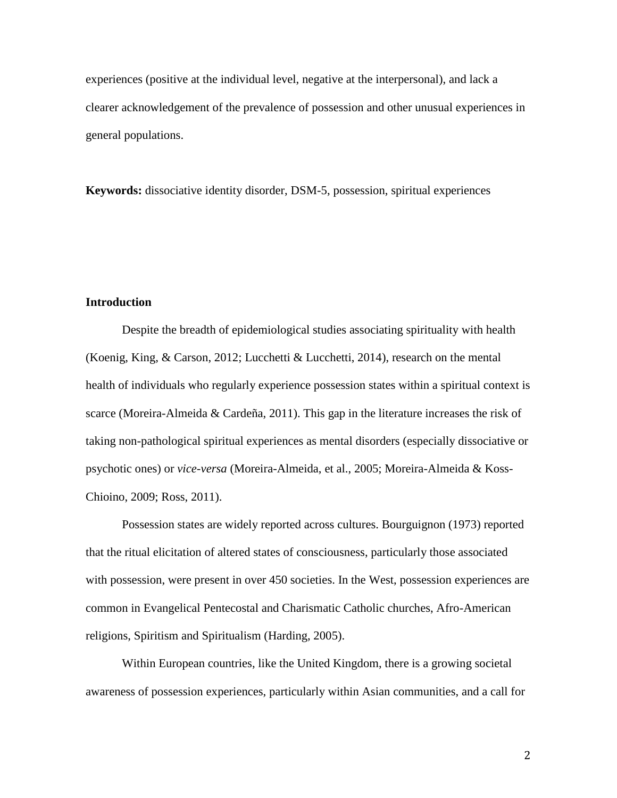experiences (positive at the individual level, negative at the interpersonal), and lack a clearer acknowledgement of the prevalence of possession and other unusual experiences in general populations.

**Keywords:** dissociative identity disorder, DSM-5, possession, spiritual experiences

# **Introduction**

Despite the breadth of epidemiological studies associating spirituality with health (Koenig, King, & Carson, 2012; Lucchetti & Lucchetti, 2014), research on the mental health of individuals who regularly experience possession states within a spiritual context is scarce (Moreira-Almeida & Cardeña, 2011). This gap in the literature increases the risk of taking non-pathological spiritual experiences as mental disorders (especially dissociative or psychotic ones) or *vice-versa* (Moreira-Almeida, et al., 2005; Moreira-Almeida & Koss-Chioino, 2009; Ross, 2011).

Possession states are widely reported across cultures. Bourguignon (1973) reported that the ritual elicitation of altered states of consciousness, particularly those associated with possession, were present in over 450 societies. In the West, possession experiences are common in Evangelical Pentecostal and Charismatic Catholic churches, Afro-American religions, Spiritism and Spiritualism (Harding, 2005).

Within European countries, like the United Kingdom, there is a growing societal awareness of possession experiences, particularly within Asian communities, and a call for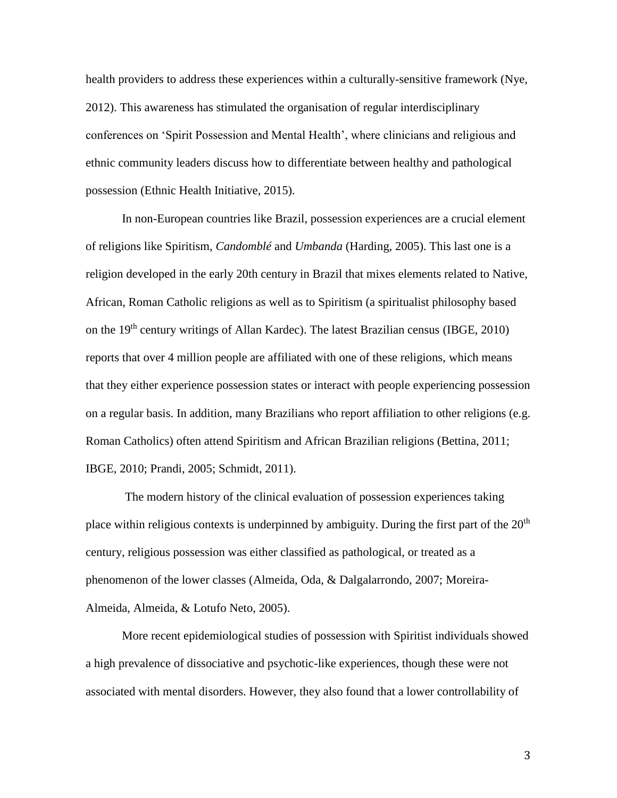health providers to address these experiences within a culturally-sensitive framework (Nye, 2012). This awareness has stimulated the organisation of regular interdisciplinary conferences on 'Spirit Possession and Mental Health', where clinicians and religious and ethnic community leaders discuss how to differentiate between healthy and pathological possession (Ethnic Health Initiative, 2015).

In non-European countries like Brazil, possession experiences are a crucial element of religions like Spiritism, *Candomblé* and *Umbanda* (Harding, 2005). This last one is a religion developed in the early 20th century in Brazil that mixes elements related to Native, African, Roman Catholic religions as well as to Spiritism (a spiritualist philosophy based on the 19th century writings of Allan Kardec). The latest Brazilian census (IBGE, 2010) reports that over 4 million people are affiliated with one of these religions, which means that they either experience possession states or interact with people experiencing possession on a regular basis. In addition, many Brazilians who report affiliation to other religions (e.g. Roman Catholics) often attend Spiritism and African Brazilian religions (Bettina, 2011; IBGE, 2010; Prandi, 2005; Schmidt, 2011).

The modern history of the clinical evaluation of possession experiences taking place within religious contexts is underpinned by ambiguity. During the first part of the  $20<sup>th</sup>$ century, religious possession was either classified as pathological, or treated as a phenomenon of the lower classes (Almeida, Oda, & Dalgalarrondo, 2007; Moreira-Almeida, Almeida, & Lotufo Neto, 2005).

More recent epidemiological studies of possession with Spiritist individuals showed a high prevalence of dissociative and psychotic-like experiences, though these were not associated with mental disorders. However, they also found that a lower controllability of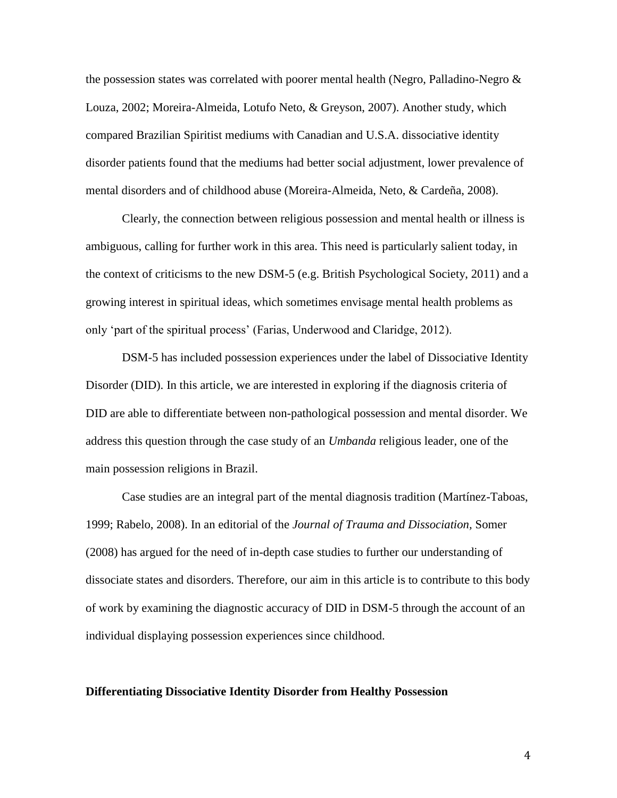the possession states was correlated with poorer mental health (Negro, Palladino-Negro  $\&$ Louza, 2002; Moreira-Almeida, Lotufo Neto, & Greyson, 2007). Another study, which compared Brazilian Spiritist mediums with Canadian and U.S.A. dissociative identity disorder patients found that the mediums had better social adjustment, lower prevalence of mental disorders and of childhood abuse (Moreira-Almeida, Neto, & Cardeña, 2008).

Clearly, the connection between religious possession and mental health or illness is ambiguous, calling for further work in this area. This need is particularly salient today, in the context of criticisms to the new DSM-5 (e.g. British Psychological Society, 2011) and a growing interest in spiritual ideas, which sometimes envisage mental health problems as only 'part of the spiritual process' (Farias, Underwood and Claridge, 2012).

DSM-5 has included possession experiences under the label of Dissociative Identity Disorder (DID). In this article, we are interested in exploring if the diagnosis criteria of DID are able to differentiate between non-pathological possession and mental disorder. We address this question through the case study of an *Umbanda* religious leader, one of the main possession religions in Brazil.

Case studies are an integral part of the mental diagnosis tradition (Martínez-Taboas, 1999; Rabelo, 2008). In an editorial of the *Journal of Trauma and Dissociation,* Somer (2008) has argued for the need of in-depth case studies to further our understanding of dissociate states and disorders. Therefore, our aim in this article is to contribute to this body of work by examining the diagnostic accuracy of DID in DSM-5 through the account of an individual displaying possession experiences since childhood.

#### **Differentiating Dissociative Identity Disorder from Healthy Possession**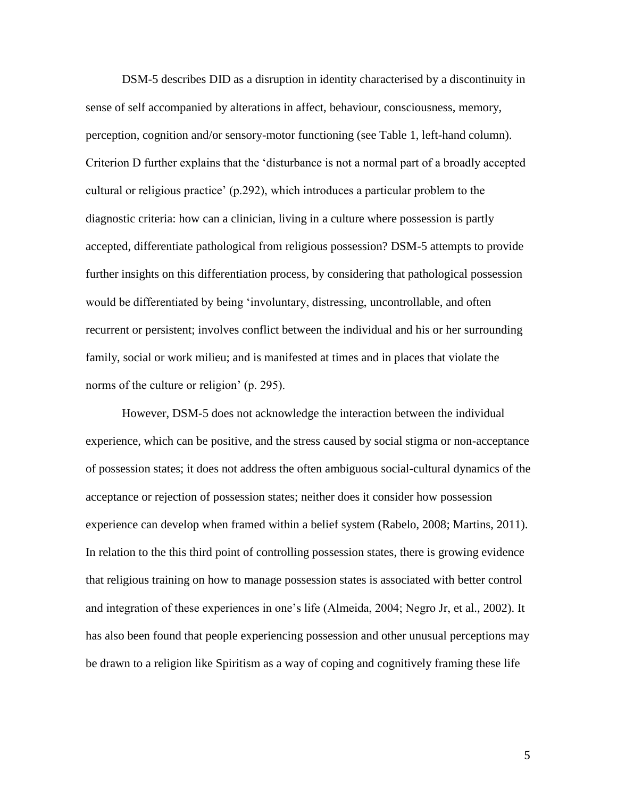DSM-5 describes DID as a disruption in identity characterised by a discontinuity in sense of self accompanied by alterations in affect, behaviour, consciousness, memory, perception, cognition and/or sensory-motor functioning (see Table 1, left-hand column). Criterion D further explains that the 'disturbance is not a normal part of a broadly accepted cultural or religious practice' (p.292), which introduces a particular problem to the diagnostic criteria: how can a clinician, living in a culture where possession is partly accepted, differentiate pathological from religious possession? DSM-5 attempts to provide further insights on this differentiation process, by considering that pathological possession would be differentiated by being 'involuntary, distressing, uncontrollable, and often recurrent or persistent; involves conflict between the individual and his or her surrounding family, social or work milieu; and is manifested at times and in places that violate the norms of the culture or religion' (p. 295).

However, DSM-5 does not acknowledge the interaction between the individual experience, which can be positive, and the stress caused by social stigma or non-acceptance of possession states; it does not address the often ambiguous social-cultural dynamics of the acceptance or rejection of possession states; neither does it consider how possession experience can develop when framed within a belief system (Rabelo, 2008; Martins, 2011). In relation to the this third point of controlling possession states, there is growing evidence that religious training on how to manage possession states is associated with better control and integration of these experiences in one's life (Almeida, 2004; Negro Jr, et al., 2002). It has also been found that people experiencing possession and other unusual perceptions may be drawn to a religion like Spiritism as a way of coping and cognitively framing these life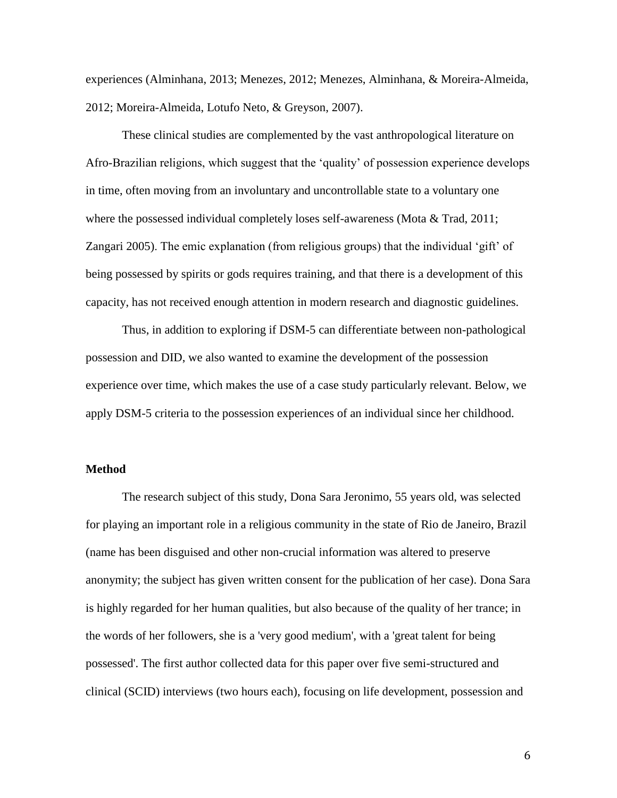experiences (Alminhana, 2013; Menezes, 2012; Menezes, Alminhana, & Moreira-Almeida, 2012; Moreira-Almeida, Lotufo Neto, & Greyson, 2007).

These clinical studies are complemented by the vast anthropological literature on Afro-Brazilian religions, which suggest that the 'quality' of possession experience develops in time, often moving from an involuntary and uncontrollable state to a voluntary one where the possessed individual completely loses self-awareness (Mota & Trad, 2011; Zangari 2005). The emic explanation (from religious groups) that the individual 'gift' of being possessed by spirits or gods requires training, and that there is a development of this capacity, has not received enough attention in modern research and diagnostic guidelines.

Thus, in addition to exploring if DSM-5 can differentiate between non-pathological possession and DID, we also wanted to examine the development of the possession experience over time, which makes the use of a case study particularly relevant. Below, we apply DSM-5 criteria to the possession experiences of an individual since her childhood.

#### **Method**

The research subject of this study, Dona Sara Jeronimo, 55 years old, was selected for playing an important role in a religious community in the state of Rio de Janeiro, Brazil (name has been disguised and other non-crucial information was altered to preserve anonymity; the subject has given written consent for the publication of her case). Dona Sara is highly regarded for her human qualities, but also because of the quality of her trance; in the words of her followers, she is a 'very good medium', with a 'great talent for being possessed'. The first author collected data for this paper over five semi-structured and clinical (SCID) interviews (two hours each), focusing on life development, possession and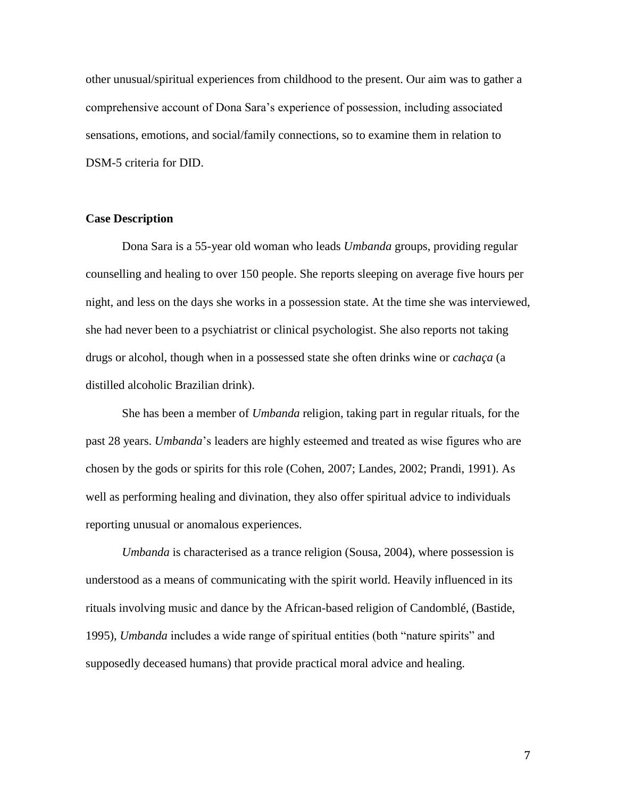other unusual/spiritual experiences from childhood to the present. Our aim was to gather a comprehensive account of Dona Sara's experience of possession, including associated sensations, emotions, and social/family connections, so to examine them in relation to DSM-5 criteria for DID.

#### **Case Description**

Dona Sara is a 55-year old woman who leads *Umbanda* groups, providing regular counselling and healing to over 150 people. She reports sleeping on average five hours per night, and less on the days she works in a possession state. At the time she was interviewed, she had never been to a psychiatrist or clinical psychologist. She also reports not taking drugs or alcohol, though when in a possessed state she often drinks wine or *cachaça* (a distilled alcoholic Brazilian drink).

She has been a member of *Umbanda* religion, taking part in regular rituals, for the past 28 years. *Umbanda*'s leaders are highly esteemed and treated as wise figures who are chosen by the gods or spirits for this role (Cohen, 2007; Landes, 2002; Prandi, 1991). As well as performing healing and divination, they also offer spiritual advice to individuals reporting unusual or anomalous experiences.

 *Umbanda* is characterised as a trance religion (Sousa, 2004), where possession is understood as a means of communicating with the spirit world. Heavily influenced in its rituals involving music and dance by the African-based religion of Candomblé, (Bastide, 1995), *Umbanda* includes a wide range of spiritual entities (both "nature spirits" and supposedly deceased humans) that provide practical moral advice and healing.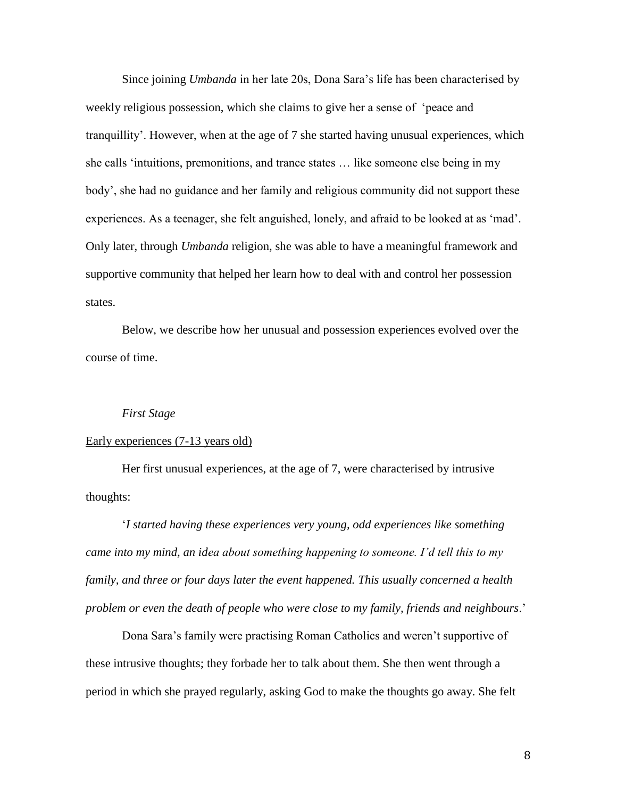Since joining *Umbanda* in her late 20s, Dona Sara's life has been characterised by weekly religious possession, which she claims to give her a sense of 'peace and tranquillity'. However, when at the age of 7 she started having unusual experiences, which she calls 'intuitions, premonitions, and trance states … like someone else being in my body', she had no guidance and her family and religious community did not support these experiences. As a teenager, she felt anguished, lonely, and afraid to be looked at as 'mad'. Only later, through *Umbanda* religion, she was able to have a meaningful framework and supportive community that helped her learn how to deal with and control her possession states.

Below, we describe how her unusual and possession experiences evolved over the course of time.

#### *First Stage*

#### Early experiences (7-13 years old)

Her first unusual experiences, at the age of 7, were characterised by intrusive thoughts:

'*I started having these experiences very young, odd experiences like something came into my mind, an idea about something happening to someone. I'd tell this to my family, and three or four days later the event happened. This usually concerned a health problem or even the death of people who were close to my family, friends and neighbours*.'

Dona Sara's family were practising Roman Catholics and weren't supportive of these intrusive thoughts; they forbade her to talk about them. She then went through a period in which she prayed regularly, asking God to make the thoughts go away. She felt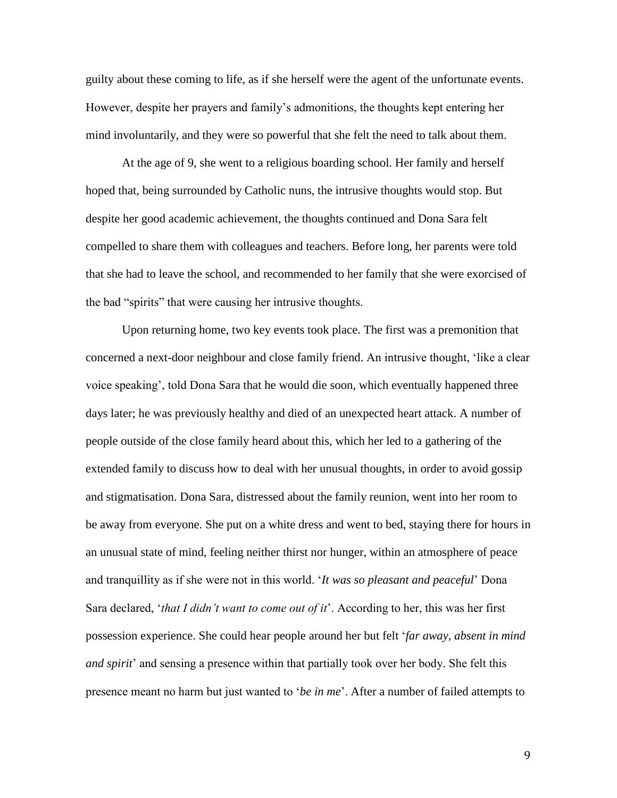guilty about these coming to life, as if she herself were the agent of the unfortunate events. However, despite her prayers and family's admonitions, the thoughts kept entering her mind involuntarily, and they were so powerful that she felt the need to talk about them.

At the age of 9, she went to a religious boarding school. Her family and herself hoped that, being surrounded by Catholic nuns, the intrusive thoughts would stop. But despite her good academic achievement, the thoughts continued and Dona Sara felt compelled to share them with colleagues and teachers. Before long, her parents were told that she had to leave the school, and recommended to her family that she were exorcised of the bad "spirits" that were causing her intrusive thoughts.

Upon returning home, two key events took place. The first was a premonition that concerned a next-door neighbour and close family friend. An intrusive thought, 'like a clear voice speaking', told Dona Sara that he would die soon, which eventually happened three days later; he was previously healthy and died of an unexpected heart attack. A number of people outside of the close family heard about this, which her led to a gathering of the extended family to discuss how to deal with her unusual thoughts, in order to avoid gossip and stigmatisation. Dona Sara, distressed about the family reunion, went into her room to be away from everyone. She put on a white dress and went to bed, staying there for hours in an unusual state of mind, feeling neither thirst nor hunger, within an atmosphere of peace and tranquillity as if she were not in this world. '*It was so pleasant and peaceful*' Dona Sara declared, '*that I didn't want to come out of it*'. According to her, this was her first possession experience. She could hear people around her but felt '*far away, absent in mind and spirit*' and sensing a presence within that partially took over her body. She felt this presence meant no harm but just wanted to '*be in me*'. After a number of failed attempts to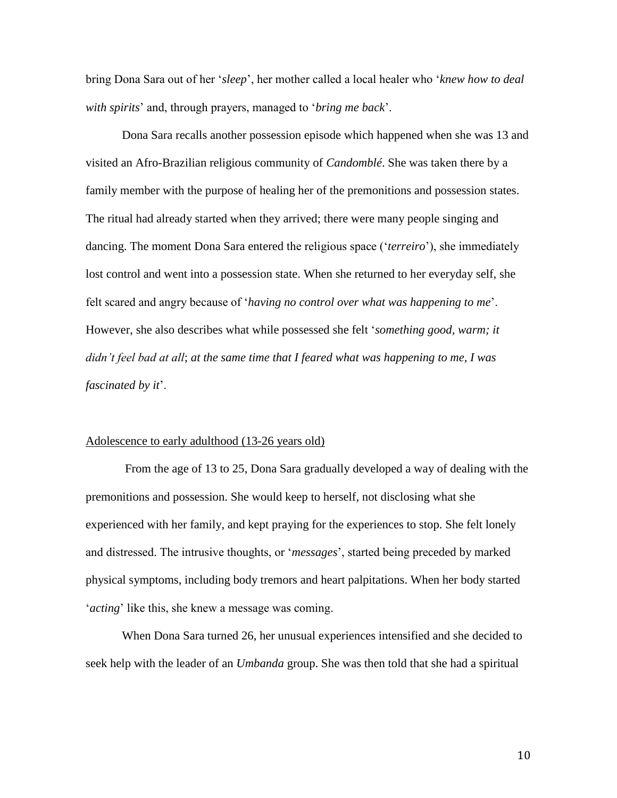bring Dona Sara out of her '*sleep*', her mother called a local healer who '*knew how to deal with spirits*' and, through prayers, managed to '*bring me back*'.

Dona Sara recalls another possession episode which happened when she was 13 and visited an Afro-Brazilian religious community of *Candomblé*. She was taken there by a family member with the purpose of healing her of the premonitions and possession states. The ritual had already started when they arrived; there were many people singing and dancing. The moment Dona Sara entered the religious space ('*terreiro*'), she immediately lost control and went into a possession state. When she returned to her everyday self, she felt scared and angry because of '*having no control over what was happening to me*'. However, she also describes what while possessed she felt '*something good, warm; it didn't feel bad at all*; *at the same time that I feared what was happening to me, I was fascinated by it*'.

#### Adolescence to early adulthood (13-26 years old)

From the age of 13 to 25, Dona Sara gradually developed a way of dealing with the premonitions and possession. She would keep to herself, not disclosing what she experienced with her family, and kept praying for the experiences to stop. She felt lonely and distressed. The intrusive thoughts, or '*messages*', started being preceded by marked physical symptoms, including body tremors and heart palpitations. When her body started '*acting*' like this, she knew a message was coming.

When Dona Sara turned 26, her unusual experiences intensified and she decided to seek help with the leader of an *Umbanda* group. She was then told that she had a spiritual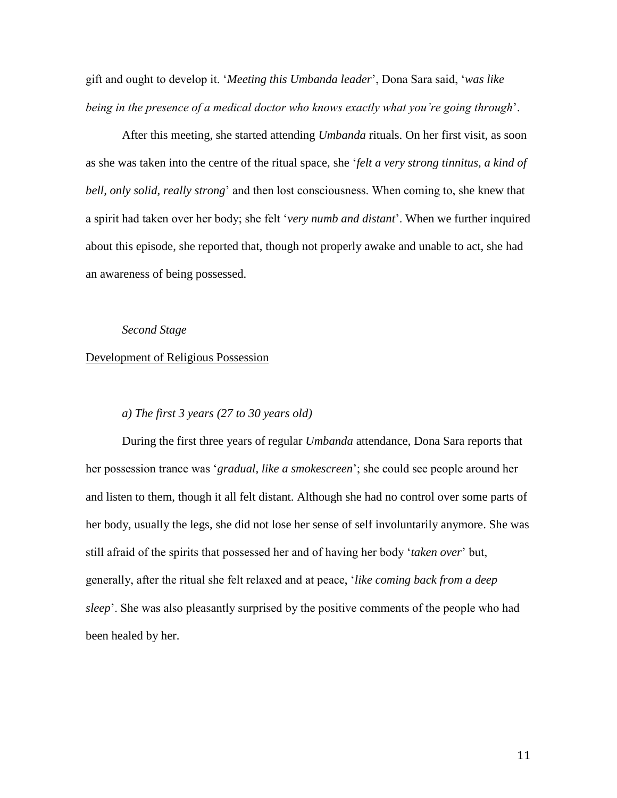gift and ought to develop it. '*Meeting this Umbanda leader*', Dona Sara said, '*was like being in the presence of a medical doctor who knows exactly what you're going through*'.

After this meeting, she started attending *Umbanda* rituals. On her first visit, as soon as she was taken into the centre of the ritual space, she '*felt a very strong tinnitus, a kind of bell, only solid, really strong*' and then lost consciousness. When coming to, she knew that a spirit had taken over her body; she felt '*very numb and distant*'. When we further inquired about this episode, she reported that, though not properly awake and unable to act, she had an awareness of being possessed.

*Second Stage*

#### Development of Religious Possession

## *a) The first 3 years (27 to 30 years old)*

During the first three years of regular *Umbanda* attendance, Dona Sara reports that her possession trance was '*gradual, like a smokescreen*'; she could see people around her and listen to them, though it all felt distant. Although she had no control over some parts of her body, usually the legs, she did not lose her sense of self involuntarily anymore. She was still afraid of the spirits that possessed her and of having her body '*taken over*' but, generally, after the ritual she felt relaxed and at peace, '*like coming back from a deep sleep*'. She was also pleasantly surprised by the positive comments of the people who had been healed by her.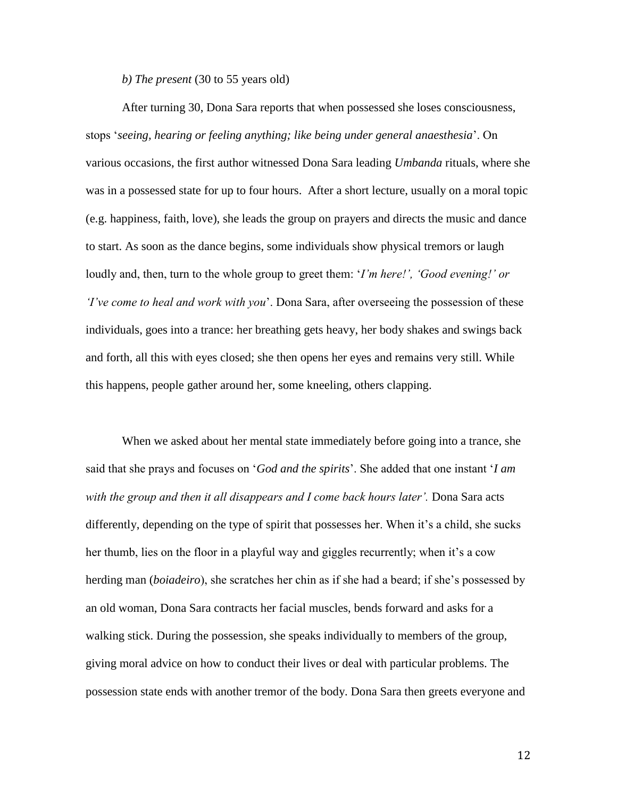*b) The present* (30 to 55 years old)

After turning 30, Dona Sara reports that when possessed she loses consciousness, stops '*seeing, hearing or feeling anything; like being under general anaesthesia*'. On various occasions, the first author witnessed Dona Sara leading *Umbanda* rituals, where she was in a possessed state for up to four hours. After a short lecture, usually on a moral topic (e.g. happiness, faith, love), she leads the group on prayers and directs the music and dance to start. As soon as the dance begins, some individuals show physical tremors or laugh loudly and, then, turn to the whole group to greet them: '*I'm here!', 'Good evening!' or 'I've come to heal and work with you*'. Dona Sara, after overseeing the possession of these individuals, goes into a trance: her breathing gets heavy, her body shakes and swings back and forth, all this with eyes closed; she then opens her eyes and remains very still. While this happens, people gather around her, some kneeling, others clapping.

When we asked about her mental state immediately before going into a trance, she said that she prays and focuses on '*God and the spirits*'. She added that one instant '*I am with the group and then it all disappears and I come back hours later'.* Dona Sara acts differently, depending on the type of spirit that possesses her. When it's a child, she sucks her thumb, lies on the floor in a playful way and giggles recurrently; when it's a cow herding man (*boiadeiro*), she scratches her chin as if she had a beard; if she's possessed by an old woman, Dona Sara contracts her facial muscles, bends forward and asks for a walking stick. During the possession, she speaks individually to members of the group, giving moral advice on how to conduct their lives or deal with particular problems. The possession state ends with another tremor of the body. Dona Sara then greets everyone and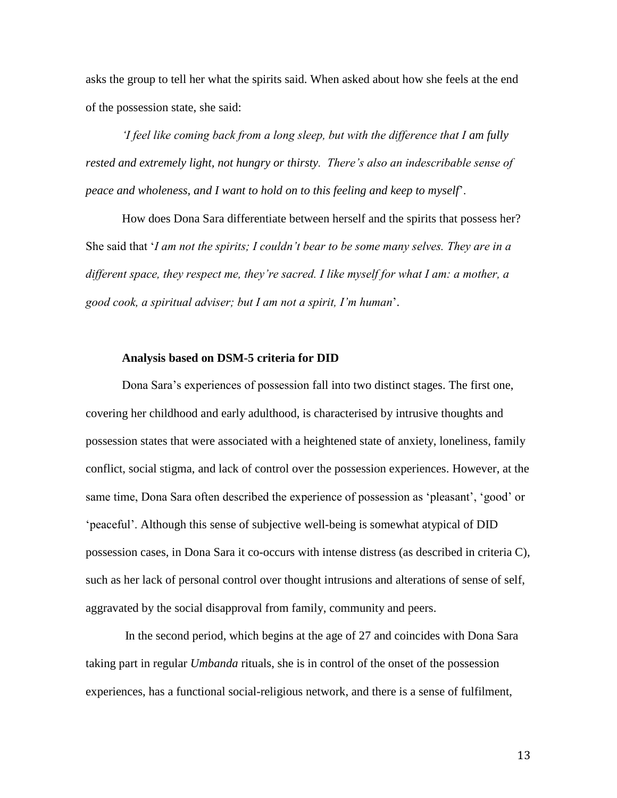asks the group to tell her what the spirits said. When asked about how she feels at the end of the possession state, she said:

*'I feel like coming back from a long sleep, but with the difference that I am fully rested and extremely light, not hungry or thirsty. There's also an indescribable sense of peace and wholeness, and I want to hold on to this feeling and keep to myself*'.

How does Dona Sara differentiate between herself and the spirits that possess her? She said that '*I am not the spirits; I couldn't bear to be some many selves. They are in a different space, they respect me, they're sacred. I like myself for what I am: a mother, a good cook, a spiritual adviser; but I am not a spirit, I'm human*'.

#### **Analysis based on DSM-5 criteria for DID**

Dona Sara's experiences of possession fall into two distinct stages. The first one, covering her childhood and early adulthood, is characterised by intrusive thoughts and possession states that were associated with a heightened state of anxiety, loneliness, family conflict, social stigma, and lack of control over the possession experiences. However, at the same time, Dona Sara often described the experience of possession as 'pleasant', 'good' or 'peaceful'. Although this sense of subjective well-being is somewhat atypical of DID possession cases, in Dona Sara it co-occurs with intense distress (as described in criteria C), such as her lack of personal control over thought intrusions and alterations of sense of self, aggravated by the social disapproval from family, community and peers.

In the second period, which begins at the age of 27 and coincides with Dona Sara taking part in regular *Umbanda* rituals, she is in control of the onset of the possession experiences, has a functional social-religious network, and there is a sense of fulfilment,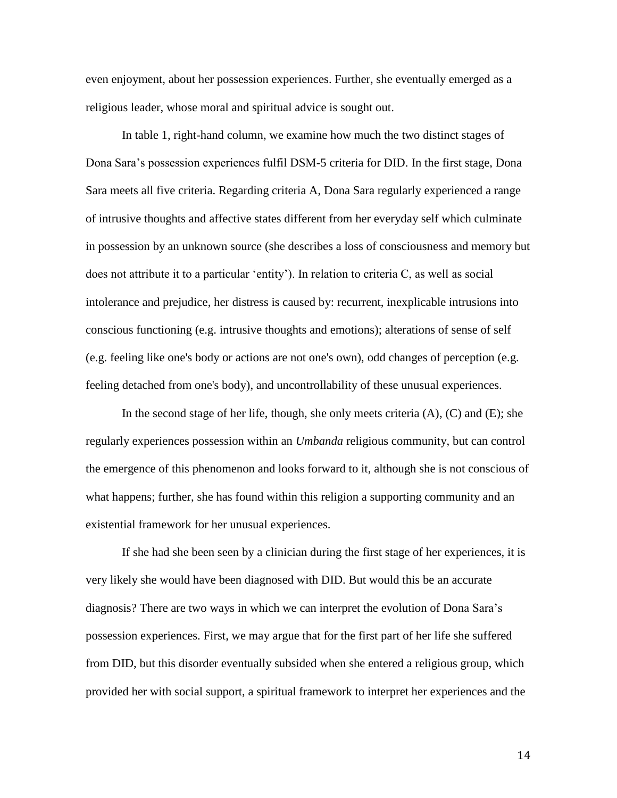even enjoyment, about her possession experiences. Further, she eventually emerged as a religious leader, whose moral and spiritual advice is sought out.

In table 1, right-hand column, we examine how much the two distinct stages of Dona Sara's possession experiences fulfil DSM-5 criteria for DID. In the first stage, Dona Sara meets all five criteria. Regarding criteria A, Dona Sara regularly experienced a range of intrusive thoughts and affective states different from her everyday self which culminate in possession by an unknown source (she describes a loss of consciousness and memory but does not attribute it to a particular 'entity'). In relation to criteria C, as well as social intolerance and prejudice, her distress is caused by: recurrent, inexplicable intrusions into conscious functioning (e.g. intrusive thoughts and emotions); alterations of sense of self (e.g. feeling like one's body or actions are not one's own), odd changes of perception (e.g. feeling detached from one's body), and uncontrollability of these unusual experiences.

In the second stage of her life, though, she only meets criteria  $(A)$ ,  $(C)$  and  $(E)$ ; she regularly experiences possession within an *Umbanda* religious community, but can control the emergence of this phenomenon and looks forward to it, although she is not conscious of what happens; further, she has found within this religion a supporting community and an existential framework for her unusual experiences.

If she had she been seen by a clinician during the first stage of her experiences, it is very likely she would have been diagnosed with DID. But would this be an accurate diagnosis? There are two ways in which we can interpret the evolution of Dona Sara's possession experiences. First, we may argue that for the first part of her life she suffered from DID, but this disorder eventually subsided when she entered a religious group, which provided her with social support, a spiritual framework to interpret her experiences and the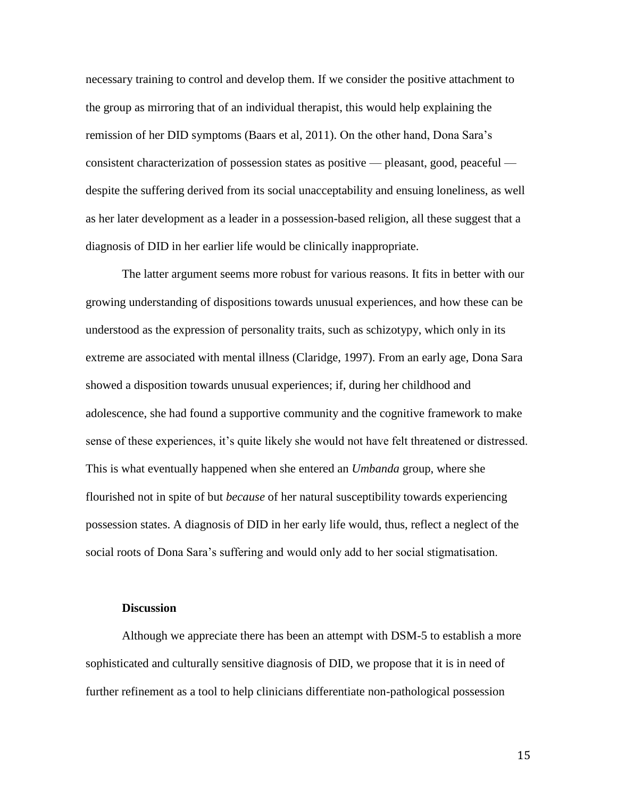necessary training to control and develop them. If we consider the positive attachment to the group as mirroring that of an individual therapist, this would help explaining the remission of her DID symptoms (Baars et al, 2011). On the other hand, Dona Sara's consistent characterization of possession states as positive — pleasant, good, peaceful despite the suffering derived from its social unacceptability and ensuing loneliness, as well as her later development as a leader in a possession-based religion, all these suggest that a diagnosis of DID in her earlier life would be clinically inappropriate.

The latter argument seems more robust for various reasons. It fits in better with our growing understanding of dispositions towards unusual experiences, and how these can be understood as the expression of personality traits, such as schizotypy, which only in its extreme are associated with mental illness (Claridge, 1997). From an early age, Dona Sara showed a disposition towards unusual experiences; if, during her childhood and adolescence, she had found a supportive community and the cognitive framework to make sense of these experiences, it's quite likely she would not have felt threatened or distressed. This is what eventually happened when she entered an *Umbanda* group, where she flourished not in spite of but *because* of her natural susceptibility towards experiencing possession states. A diagnosis of DID in her early life would, thus, reflect a neglect of the social roots of Dona Sara's suffering and would only add to her social stigmatisation.

#### **Discussion**

Although we appreciate there has been an attempt with DSM-5 to establish a more sophisticated and culturally sensitive diagnosis of DID, we propose that it is in need of further refinement as a tool to help clinicians differentiate non-pathological possession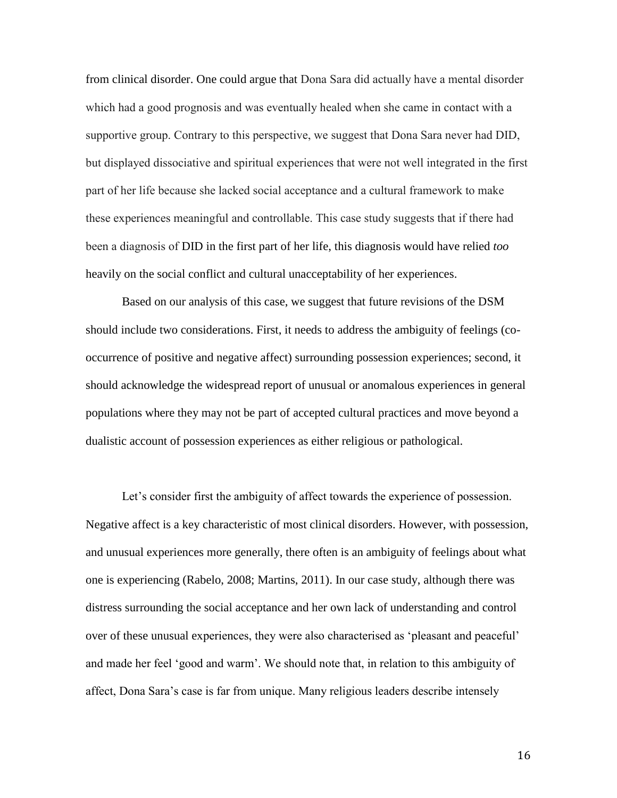from clinical disorder. One could argue that Dona Sara did actually have a mental disorder which had a good prognosis and was eventually healed when she came in contact with a supportive group. Contrary to this perspective, we suggest that Dona Sara never had DID, but displayed dissociative and spiritual experiences that were not well integrated in the first part of her life because she lacked social acceptance and a cultural framework to make these experiences meaningful and controllable. This case study suggests that if there had been a diagnosis of DID in the first part of her life, this diagnosis would have relied *too* heavily on the social conflict and cultural unacceptability of her experiences.

Based on our analysis of this case, we suggest that future revisions of the DSM should include two considerations. First, it needs to address the ambiguity of feelings (cooccurrence of positive and negative affect) surrounding possession experiences; second, it should acknowledge the widespread report of unusual or anomalous experiences in general populations where they may not be part of accepted cultural practices and move beyond a dualistic account of possession experiences as either religious or pathological.

Let's consider first the ambiguity of affect towards the experience of possession. Negative affect is a key characteristic of most clinical disorders. However, with possession, and unusual experiences more generally, there often is an ambiguity of feelings about what one is experiencing (Rabelo, 2008; Martins, 2011). In our case study, although there was distress surrounding the social acceptance and her own lack of understanding and control over of these unusual experiences, they were also characterised as 'pleasant and peaceful' and made her feel 'good and warm'. We should note that, in relation to this ambiguity of affect, Dona Sara's case is far from unique. Many religious leaders describe intensely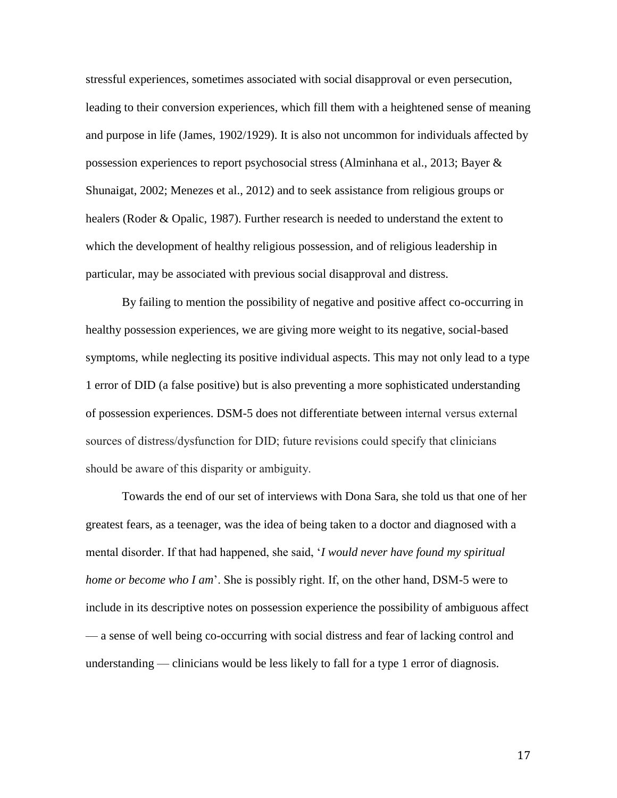stressful experiences, sometimes associated with social disapproval or even persecution, leading to their conversion experiences, which fill them with a heightened sense of meaning and purpose in life (James, 1902/1929). It is also not uncommon for individuals affected by possession experiences to report psychosocial stress (Alminhana et al., 2013; Bayer & Shunaigat, 2002; Menezes et al., 2012) and to seek assistance from religious groups or healers (Roder & Opalic, 1987). Further research is needed to understand the extent to which the development of healthy religious possession, and of religious leadership in particular, may be associated with previous social disapproval and distress.

By failing to mention the possibility of negative and positive affect co-occurring in healthy possession experiences, we are giving more weight to its negative, social-based symptoms, while neglecting its positive individual aspects. This may not only lead to a type 1 error of DID (a false positive) but is also preventing a more sophisticated understanding of possession experiences. DSM-5 does not differentiate between internal versus external sources of distress/dysfunction for DID; future revisions could specify that clinicians should be aware of this disparity or ambiguity.

Towards the end of our set of interviews with Dona Sara, she told us that one of her greatest fears, as a teenager, was the idea of being taken to a doctor and diagnosed with a mental disorder. If that had happened, she said, '*I would never have found my spiritual home or become who I am*'. She is possibly right. If, on the other hand, DSM-5 were to include in its descriptive notes on possession experience the possibility of ambiguous affect — a sense of well being co-occurring with social distress and fear of lacking control and understanding — clinicians would be less likely to fall for a type 1 error of diagnosis.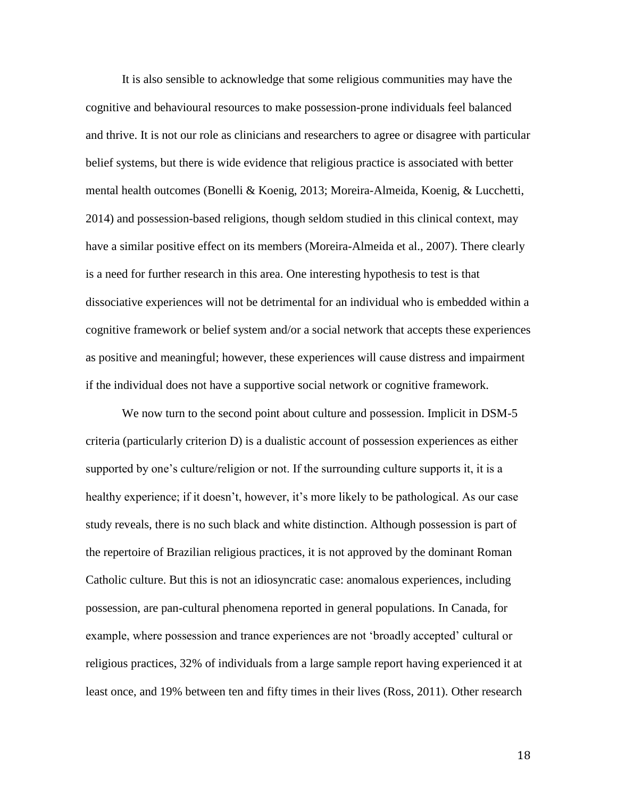It is also sensible to acknowledge that some religious communities may have the cognitive and behavioural resources to make possession-prone individuals feel balanced and thrive. It is not our role as clinicians and researchers to agree or disagree with particular belief systems, but there is wide evidence that religious practice is associated with better mental health outcomes (Bonelli & Koenig, 2013; Moreira-Almeida, Koenig, & Lucchetti, 2014) and possession-based religions, though seldom studied in this clinical context, may have a similar positive effect on its members (Moreira-Almeida et al., 2007). There clearly is a need for further research in this area. One interesting hypothesis to test is that dissociative experiences will not be detrimental for an individual who is embedded within a cognitive framework or belief system and/or a social network that accepts these experiences as positive and meaningful; however, these experiences will cause distress and impairment if the individual does not have a supportive social network or cognitive framework.

We now turn to the second point about culture and possession. Implicit in DSM-5 criteria (particularly criterion D) is a dualistic account of possession experiences as either supported by one's culture/religion or not. If the surrounding culture supports it, it is a healthy experience; if it doesn't, however, it's more likely to be pathological. As our case study reveals, there is no such black and white distinction. Although possession is part of the repertoire of Brazilian religious practices, it is not approved by the dominant Roman Catholic culture. But this is not an idiosyncratic case: anomalous experiences, including possession, are pan-cultural phenomena reported in general populations. In Canada, for example, where possession and trance experiences are not 'broadly accepted' cultural or religious practices, 32% of individuals from a large sample report having experienced it at least once, and 19% between ten and fifty times in their lives (Ross, 2011). Other research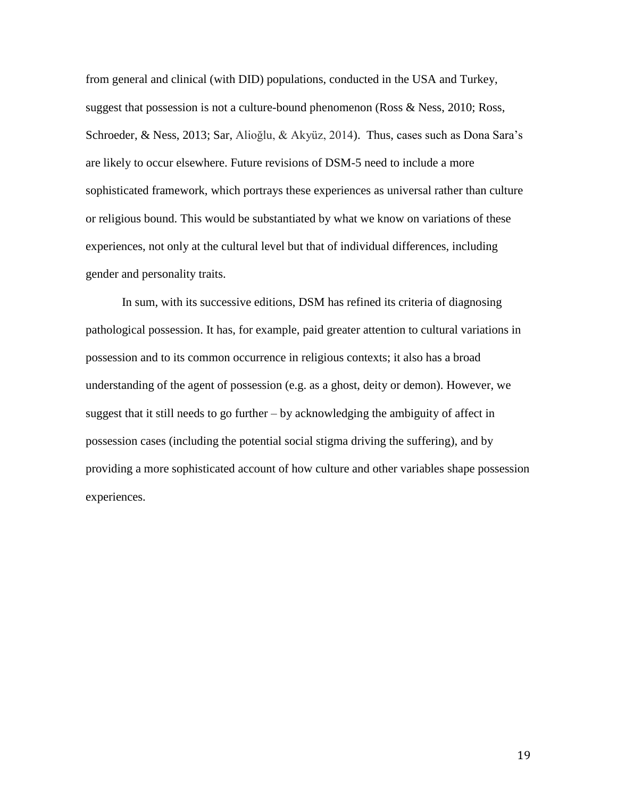from general and clinical (with DID) populations, conducted in the USA and Turkey, suggest that possession is not a culture-bound phenomenon (Ross & Ness, 2010; Ross, Schroeder, & Ness, 2013; Sar, Alioğlu, & Akyüz, 2014). Thus, cases such as Dona Sara's are likely to occur elsewhere. Future revisions of DSM-5 need to include a more sophisticated framework, which portrays these experiences as universal rather than culture or religious bound. This would be substantiated by what we know on variations of these experiences, not only at the cultural level but that of individual differences, including gender and personality traits.

In sum, with its successive editions, DSM has refined its criteria of diagnosing pathological possession. It has, for example, paid greater attention to cultural variations in possession and to its common occurrence in religious contexts; it also has a broad understanding of the agent of possession (e.g. as a ghost, deity or demon). However, we suggest that it still needs to go further  $-$  by acknowledging the ambiguity of affect in possession cases (including the potential social stigma driving the suffering), and by providing a more sophisticated account of how culture and other variables shape possession experiences.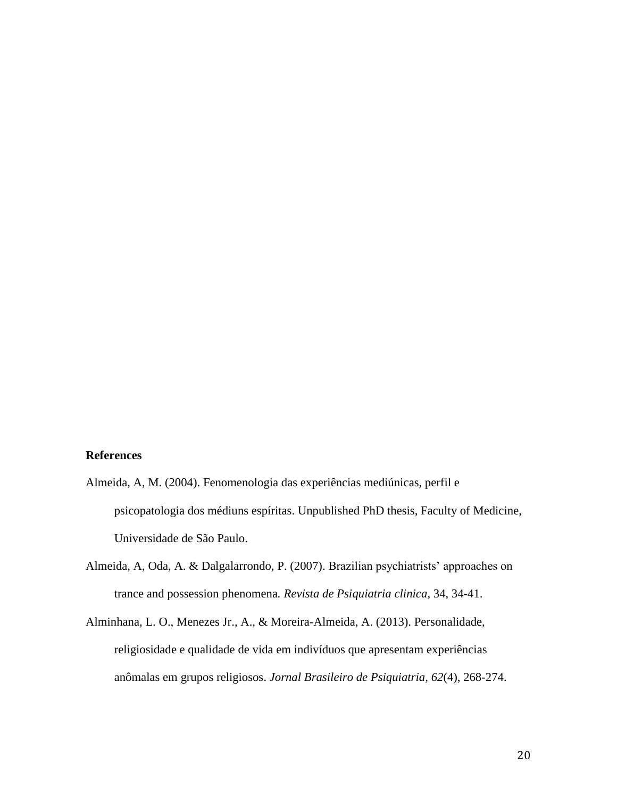#### **References**

- Almeida, A, M. (2004). Fenomenologia das experiências mediúnicas, perfil e psicopatologia dos médiuns espíritas. Unpublished PhD thesis, Faculty of Medicine, Universidade de São Paulo.
- Almeida, A, Oda, A. & Dalgalarrondo, P. (2007). Brazilian psychiatrists' approaches on trance and possession phenomena*. Revista de Psiquiatria clinica*, 34, 34-41.
- Alminhana, L. O., Menezes Jr., A., & Moreira-Almeida, A. (2013). Personalidade, religiosidade e qualidade de vida em indivíduos que apresentam experiências anômalas em grupos religiosos. *Jornal Brasileiro de Psiquiatria, 62*(4), 268-274.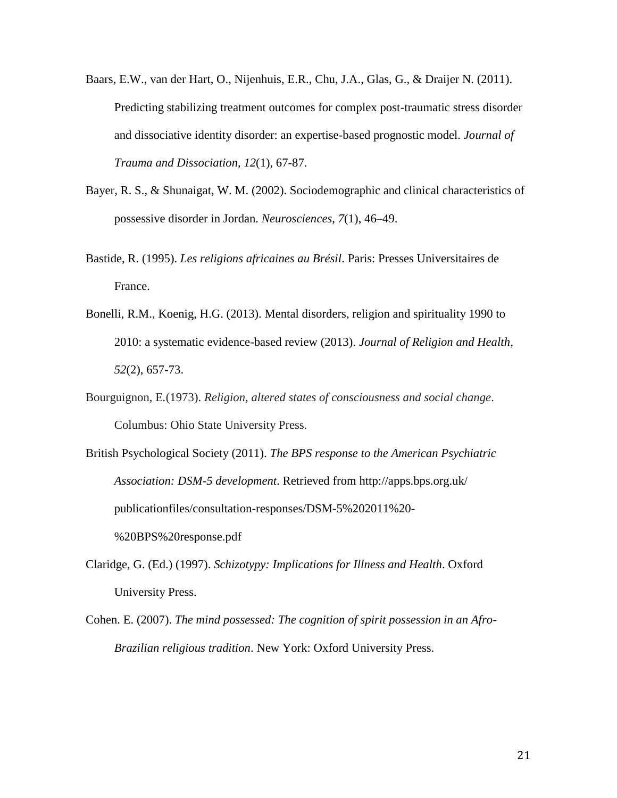- Baars, E.W., van der Hart, O., Nijenhuis, E.R., Chu, J.A., Glas, G., & Draijer N. (2011). Predicting stabilizing treatment outcomes for complex post-traumatic stress disorder and dissociative identity disorder: an expertise-based prognostic model. *Journal of Trauma and Dissociation*, *12*(1), 67-87.
- Bayer, R. S., & Shunaigat, W. M. (2002). Sociodemographic and clinical characteristics of possessive disorder in Jordan. *Neurosciences*, *7*(1), 46–49.
- Bastide, R. (1995). *Les religions africaines au Brésil*. Paris: Presses Universitaires de France.
- Bonelli, R.M., Koenig, H.G. (2013). Mental disorders, religion and spirituality 1990 to 2010: a systematic evidence-based review (2013). *Journal of Religion and Health*, *52*(2), 657-73.
- Bourguignon, E*.*(1973). *Religion, altered states of consciousness and social change*. Columbus: Ohio State University Press.
- British Psychological Society (2011). *The BPS response to the American Psychiatric Association: DSM-5 development*. Retrieved from http://apps.bps.org.uk/ publicationfiles/consultation-responses/DSM-5%202011%20- %20BPS%20response.pdf
- Claridge, G. (Ed.) (1997). *Schizotypy: Implications for Illness and Health*. Oxford University Press.
- Cohen. E. (2007). *The mind possessed: The cognition of spirit possession in an Afro-Brazilian religious tradition*. New York: Oxford University Press.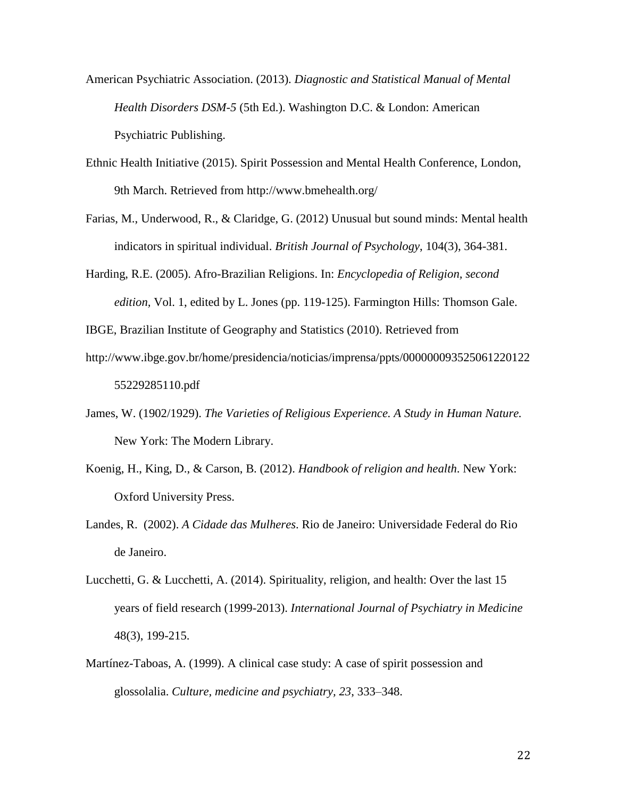- American Psychiatric Association. (2013). *Diagnostic and Statistical Manual of Mental Health Disorders DSM-5* (5th Ed.). Washington D.C. & London: American Psychiatric Publishing.
- Ethnic Health Initiative (2015). Spirit Possession and Mental Health Conference, London, 9th March. Retrieved from http://www.bmehealth.org/
- Farias, M., Underwood, R., & Claridge, G. (2012) Unusual but sound minds: Mental health indicators in spiritual individual. *British Journal of Psychology*, 104(3), 364-381.
- Harding, R.E. (2005). Afro-Brazilian Religions. In: *Encyclopedia of Religion, second edition,* Vol. 1, edited by L. Jones (pp. 119-125). Farmington Hills: Thomson Gale.
- IBGE, Brazilian Institute of Geography and Statistics (2010). Retrieved from
- http://www.ibge.gov.br/home/presidencia/noticias/imprensa/ppts/000000093525061220122 55229285110.pdf
- James, W. (1902/1929). *The Varieties of Religious Experience. A Study in Human Nature.* New York: The Modern Library.
- Koenig, H., King, D., & Carson, B. (2012). *Handbook of religion and health*. New York: Oxford University Press.
- Landes, R. (2002). *A Cidade das Mulheres*. Rio de Janeiro: Universidade Federal do Rio de Janeiro.
- Lucchetti, G. & Lucchetti, A. (2014). Spirituality, religion, and health: Over the last 15 years of field research (1999-2013). *International Journal of Psychiatry in Medicine*  48(3), 199-215.
- Martínez-Taboas, A. (1999). A clinical case study: A case of spirit possession and glossolalia. *Culture, medicine and psychiatry, 23*, 333–348.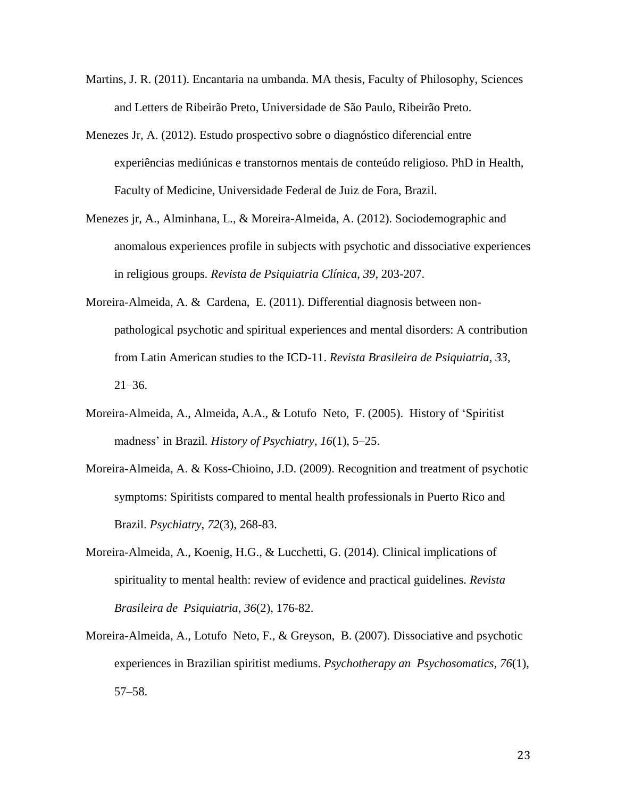- Martins, J. R. (2011). Encantaria na umbanda. MA thesis, Faculty of Philosophy, Sciences and Letters de Ribeirão Preto, Universidade de São Paulo, Ribeirão Preto.
- Menezes Jr, A. (2012). Estudo prospectivo sobre o diagnóstico diferencial entre experiências mediúnicas e transtornos mentais de conteúdo religioso. PhD in Health, Faculty of Medicine, Universidade Federal de Juiz de Fora, Brazil.
- Menezes jr, A., Alminhana, L., & Moreira-Almeida, A. (2012). Sociodemographic and anomalous experiences profile in subjects with psychotic and dissociative experiences in religious groups*. Revista de Psiquiatria Clínica*, *39*, 203-207.
- Moreira-Almeida, A. & Cardena, E. (2011). Differential diagnosis between nonpathological psychotic and spiritual experiences and mental disorders: A contribution from Latin American studies to the ICD-11. *Revista Brasileira de Psiquiatria*, *33*,  $21 - 36.$
- Moreira-Almeida, A., Almeida, A.A., & Lotufo Neto, F. (2005). History of 'Spiritist madness' in Brazil*. History of Psychiatry*, *16*(1), 5–25.
- Moreira-Almeida, A. & Koss-Chioino, J.D. (2009). Recognition and treatment of psychotic symptoms: Spiritists compared to mental health professionals in Puerto Rico and Brazil. *Psychiatry*, *72*(3), 268-83.
- Moreira-Almeida, A., Koenig, H.G., & Lucchetti, G. (2014). Clinical implications of spirituality to mental health: review of evidence and practical guidelines. *Revista Brasileira de Psiquiatria*, *36*(2), 176-82.
- Moreira-Almeida, A., Lotufo Neto, F., & Greyson, B. (2007). Dissociative and psychotic experiences in Brazilian spiritist mediums. *Psychotherapy an Psychosomatics*, *76*(1), 57–58.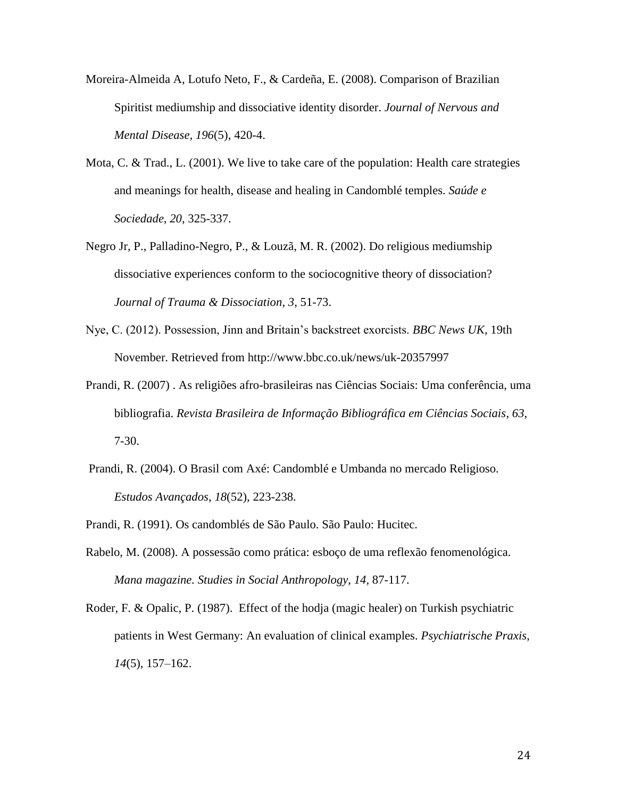- Moreira-Almeida A, Lotufo Neto, F., & Cardeña, E. (2008). Comparison of Brazilian Spiritist mediumship and dissociative identity disorder. *Journal of Nervous and Mental Disease, 196*(5), 420-4.
- Mota, C. & Trad., L. (2001). We live to take care of the population: Health care strategies and meanings for health, disease and healing in Candomblé temples. *Saúde e Sociedade*, *20*, 325-337.
- Negro Jr, P., Palladino-Negro, P., & Louzã, M. R. (2002). Do religious mediumship dissociative experiences conform to the sociocognitive theory of dissociation? *Journal of Trauma & Dissociation*, *3*, 51-73.
- Nye, C. (2012). Possession, Jinn and Britain's backstreet exorcists. *BBC News UK*, 19th November. Retrieved from http://www.bbc.co.uk/news/uk-20357997
- Prandi, R. (2007) . As religiões afro-brasileiras nas Ciências Sociais: Uma conferência, uma bibliografia. *Revista Brasileira de Informação Bibliográfica em Ciências Sociais*, *63*, 7-30.
- Prandi, R. (2004). O Brasil com Axé: Candomblé e Umbanda no mercado Religioso. *Estudos Avançados*, *18*(52), 223-238.
- Prandi, R. (1991). Os candomblés de São Paulo. São Paulo: Hucitec.
- Rabelo, M. (2008). A possessão como prática: esboço de uma reflexão fenomenológica. *Mana magazine. Studies in Social Anthropology*, *14,* 87-117.
- Roder, F. & Opalic, P. (1987). Effect of the hodja (magic healer) on Turkish psychiatric patients in West Germany: An evaluation of clinical examples. *Psychiatrische Praxis*, *14*(5), 157–162.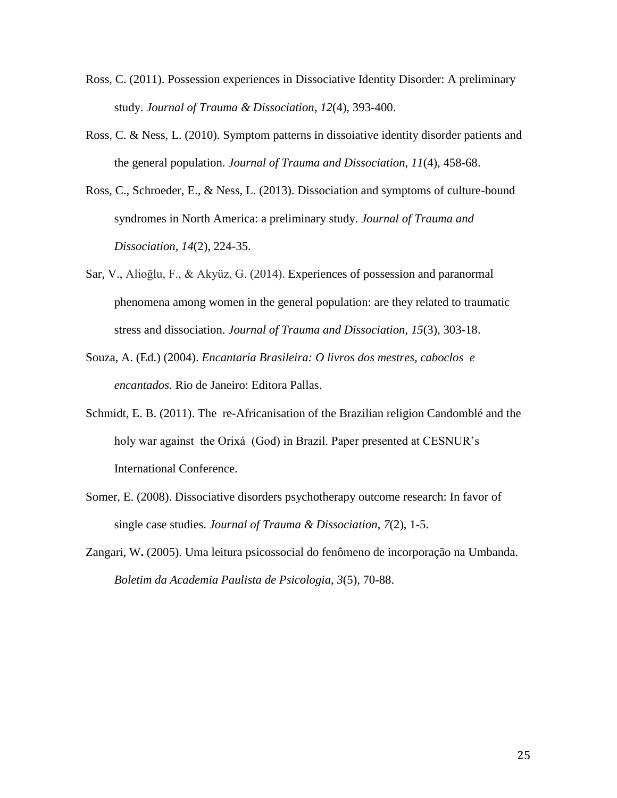- Ross, C. (2011). Possession experiences in Dissociative Identity Disorder: A preliminary study. *Journal of Trauma & Dissociation*, *12*(4), 393-400.
- Ross, C. & Ness, L. (2010). Symptom patterns in dissoiative identity disorder patients and the general population. *Journal of Trauma and Dissociation*, *11*(4), 458-68.
- Ross, C., Schroeder, E., & Ness, L. (2013). Dissociation and symptoms of culture-bound syndromes in North America: a preliminary study. *Journal of Trauma and Dissociation*, *14*(2), 224-35.
- Sar, V., Alioğlu, F., & Akyüz, G. (2014). Experiences of possession and paranormal phenomena among women in the general population: are they related to traumatic stress and dissociation. *Journal of Trauma and Dissociation*, *15*(3), 303-18.
- Souza, A. (Ed.) (2004). *Encantaria Brasileira: O livros dos mestres, caboclos e encantados.* Rio de Janeiro: Editora Pallas.
- Schmidt, E. B. (2011). The re-Africanisation of the Brazilian religion Candomblé and the holy war against the Orixá (God) in Brazil. Paper presented at CESNUR's International Conference.
- Somer, E. (2008). Dissociative disorders psychotherapy outcome research: In favor of single case studies. *Journal of Trauma & Dissociation*, *7*(2), 1-5.
- Zangari, W**.** (2005). Uma leitura psicossocial do fenômeno de incorporação na Umbanda. *Boletim da Academia Paulista de Psicologia*, *3*(5), 70-88.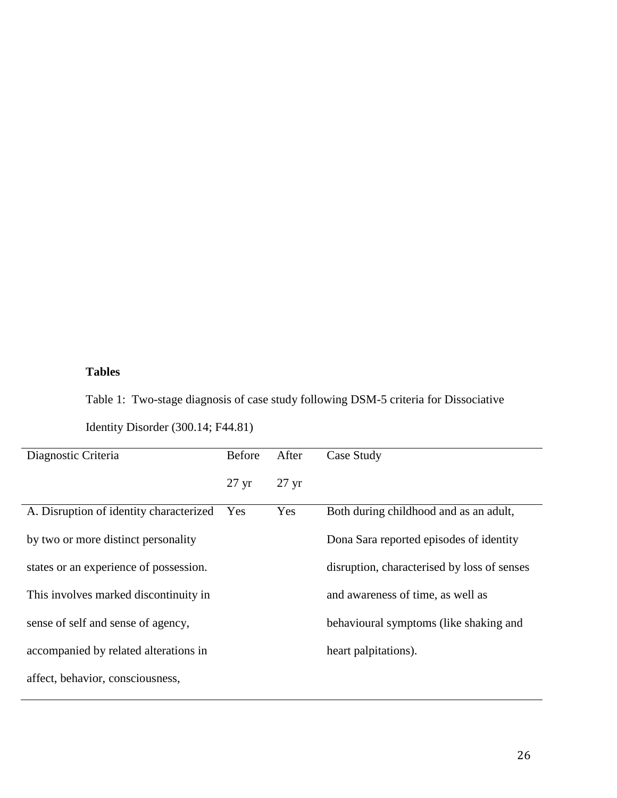# **Tables**

Table 1: Two-stage diagnosis of case study following DSM-5 criteria for Dissociative

| Identity Disorder (300.14; F44.81) |  |
|------------------------------------|--|
|------------------------------------|--|

| Diagnostic Criteria                     | Before          | After           | Case Study                                  |
|-----------------------------------------|-----------------|-----------------|---------------------------------------------|
|                                         | $27 \text{ yr}$ | $27 \text{ yr}$ |                                             |
| A. Disruption of identity characterized | Yes             | Yes             | Both during childhood and as an adult,      |
| by two or more distinct personality     |                 |                 | Dona Sara reported episodes of identity     |
| states or an experience of possession.  |                 |                 | disruption, characterised by loss of senses |
| This involves marked discontinuity in   |                 |                 | and awareness of time, as well as           |
| sense of self and sense of agency,      |                 |                 | behavioural symptoms (like shaking and      |
| accompanied by related alterations in   |                 |                 | heart palpitations).                        |
| affect, behavior, consciousness,        |                 |                 |                                             |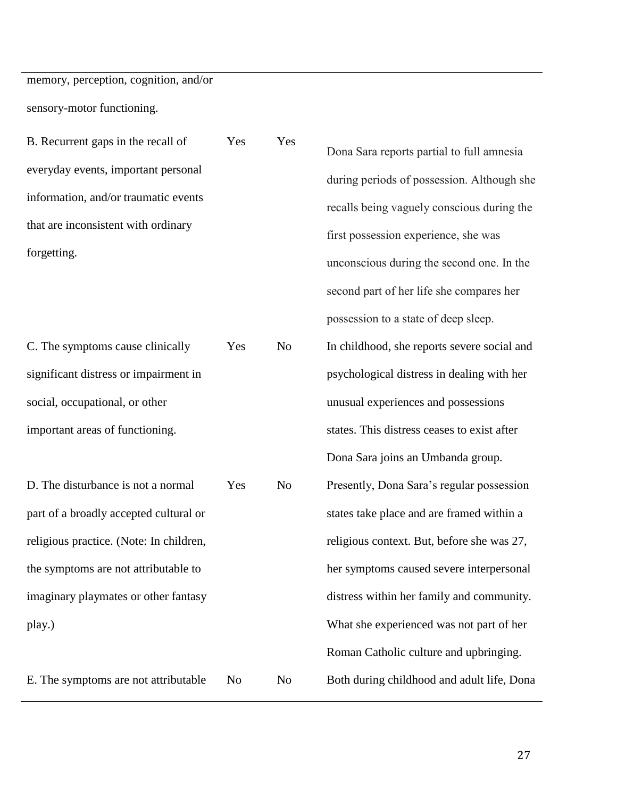memory, perception, cognition, and/or sensory-motor functioning.

B. Recurrent gaps in the recall of everyday events, important personal information, and/or traumatic events that are inconsistent with ordinary forgetting. Yes Yes

C. The symptoms cause clinically significant distress or impairment in social, occupational, or other important areas of functioning.

D. The disturbance is not a normal part of a broadly accepted cultural or religious practice. (Note: In children, the symptoms are not attributable to imaginary playmates or other fantasy play.)

E. The symptoms are not attributable No No Both during childhood and adult life, Dona

Dona Sara reports partial to full amnesia during periods of possession. Although she recalls being vaguely conscious during the first possession experience, she was unconscious during the second one. In the second part of her life she compares her possession to a state of deep sleep. Yes No In childhood, she reports severe social and psychological distress in dealing with her unusual experiences and possessions states. This distress ceases to exist after Dona Sara joins an Umbanda group. Yes No Presently, Dona Sara's regular possession states take place and are framed within a religious context. But, before she was 27, her symptoms caused severe interpersonal distress within her family and community. What she experienced was not part of her Roman Catholic culture and upbringing.